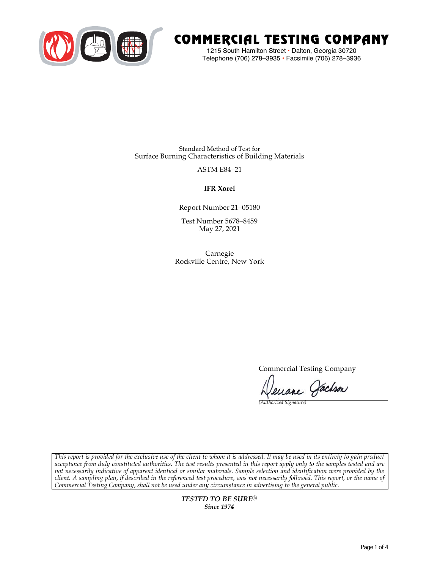

# COMMERCIAL TESTING COMPANY

1215 South Hamilton Street • Dalton, Georgia 30720 Telephone (706) 278–3935 **•** Facsimile (706) 278–3936

Standard Method of Test for Surface Burning Characteristics of Building Materials

ASTM E84–21

**IFR Xorel**

Report Number 21–05180

Test Number 5678–8459 May 27, 2021

Carnegie Rockville Centre, New York

Commercial Testing Company

enane Jachson

*(Authorized Signature)* 

*This report is provided for the exclusive use of the client to whom it is addressed. It may be used in its entirety to gain product acceptance from duly constituted authorities. The test results presented in this report apply only to the samples tested and are not necessarily indicative of apparent identical or similar materials. Sample selection and identification were provided by the client. A sampling plan, if described in the referenced test procedure, was not necessarily followed. This report, or the name of Commercial Testing Company, shall not be used under any circumstance in advertising to the general public.* 

> *TESTED TO BE SURE® Since 1974*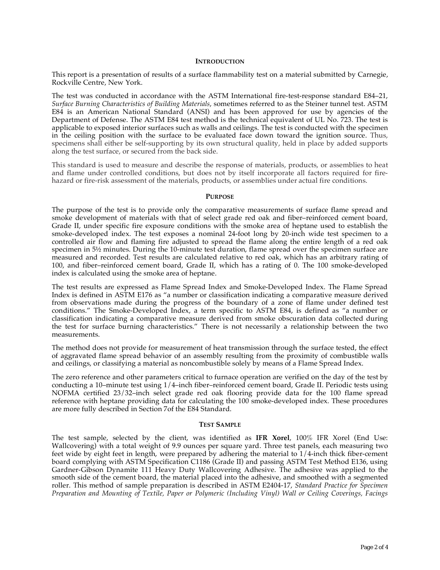### **INTRODUCTION**

This report is a presentation of results of a surface flammability test on a material submitted by Carnegie, Rockville Centre, New York.

The test was conducted in accordance with the ASTM International fire-test-response standard E84–21, *Surface Burning Characteristics of Building Materials*, sometimes referred to as the Steiner tunnel test. ASTM E84 is an American National Standard (ANSI) and has been approved for use by agencies of the Department of Defense. The ASTM E84 test method is the technical equivalent of UL No. 723. The test is applicable to exposed interior surfaces such as walls and ceilings. The test is conducted with the specimen in the ceiling position with the surface to be evaluated face down toward the ignition source. Thus, specimens shall either be self-supporting by its own structural quality, held in place by added supports along the test surface, or secured from the back side.

This standard is used to measure and describe the response of materials, products, or assemblies to heat and flame under controlled conditions, but does not by itself incorporate all factors required for firehazard or fire-risk assessment of the materials, products, or assemblies under actual fire conditions.

### **PURPOSE**

The purpose of the test is to provide only the comparative measurements of surface flame spread and smoke development of materials with that of select grade red oak and fiber–reinforced cement board, Grade II, under specific fire exposure conditions with the smoke area of heptane used to establish the smoke-developed index. The test exposes a nominal 24-foot long by 20-inch wide test specimen to a controlled air flow and flaming fire adjusted to spread the flame along the entire length of a red oak specimen in  $5\frac{1}{2}$  minutes. During the 10-minute test duration, flame spread over the specimen surface are measured and recorded. Test results are calculated relative to red oak, which has an arbitrary rating of 100, and fiber–reinforced cement board, Grade II, which has a rating of 0. The 100 smoke-developed index is calculated using the smoke area of heptane.

The test results are expressed as Flame Spread Index and Smoke-Developed Index. The Flame Spread Index is defined in ASTM E176 as "a number or classification indicating a comparative measure derived from observations made during the progress of the boundary of a zone of flame under defined test conditions." The Smoke-Developed Index, a term specific to ASTM E84, is defined as "a number or classification indicating a comparative measure derived from smoke obscuration data collected during the test for surface burning characteristics." There is not necessarily a relationship between the two measurements.

The method does not provide for measurement of heat transmission through the surface tested, the effect of aggravated flame spread behavior of an assembly resulting from the proximity of combustible walls and ceilings, or classifying a material as noncombustible solely by means of a Flame Spread Index.

The zero reference and other parameters critical to furnace operation are verified on the day of the test by conducting a 10–minute test using 1/4–inch fiber–reinforced cement board, Grade II. Periodic tests using NOFMA certified 23/32–inch select grade red oak flooring provide data for the 100 flame spread reference with heptane providing data for calculating the 100 smoke-developed index. These procedures are more fully described in Section 7of the E84 Standard.

### **TEST SAMPLE**

The test sample, selected by the client, was identified as **IFR Xorel**, 100% IFR Xorel (End Use: Wallcovering) with a total weight of 9.9 ounces per square yard. Three test panels, each measuring two feet wide by eight feet in length, were prepared by adhering the material to 1/4-inch thick fiber-cement board complying with ASTM Specification C1186 (Grade II) and passing ASTM Test Method E136, using Gardner-Gibson Dynamite 111 Heavy Duty Wallcovering Adhesive. The adhesive was applied to the smooth side of the cement board, the material placed into the adhesive, and smoothed with a segmented roller. This method of sample preparation is described in ASTM E2404-17, *Standard Practice for Specimen Preparation and Mounting of Textile, Paper or Polymeric (Including Vinyl) Wall or Ceiling Coverings, Facings*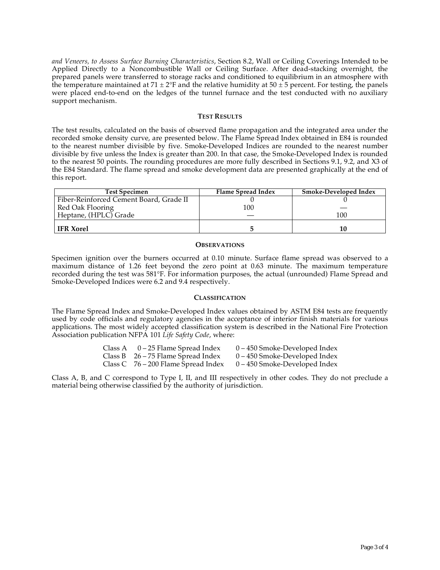*and Veneers, to Assess Surface Burning Characteristics*, Section 8.2, Wall or Ceiling Coverings Intended to be Applied Directly to a Noncombustible Wall or Ceiling Surface. After dead-stacking overnight, the prepared panels were transferred to storage racks and conditioned to equilibrium in an atmosphere with the temperature maintained at 71  $\pm$  2°F and the relative humidity at 50  $\pm$  5 percent. For testing, the panels were placed end-to-end on the ledges of the tunnel furnace and the test conducted with no auxiliary support mechanism.

### **TEST RESULTS**

The test results, calculated on the basis of observed flame propagation and the integrated area under the recorded smoke density curve, are presented below. The Flame Spread Index obtained in E84 is rounded to the nearest number divisible by five. Smoke-Developed Indices are rounded to the nearest number divisible by five unless the Index is greater than 200. In that case, the Smoke-Developed Index is rounded to the nearest 50 points. The rounding procedures are more fully described in Sections 9.1, 9.2, and X3 of the E84 Standard. The flame spread and smoke development data are presented graphically at the end of this report.

| <b>Test Specimen</b>                    | Flame Spread Index | Smoke-Developed Index |
|-----------------------------------------|--------------------|-----------------------|
| Fiber-Reinforced Cement Board, Grade II |                    |                       |
| Red Oak Flooring                        | 100                |                       |
| Heptane, (HPLC) Grade                   |                    | 100                   |
| <b>IFR</b> Xorel                        |                    |                       |

#### **OBSERVATIONS**

Specimen ignition over the burners occurred at 0.10 minute. Surface flame spread was observed to a maximum distance of 1.26 feet beyond the zero point at 0.63 minute. The maximum temperature recorded during the test was 581°F. For information purposes, the actual (unrounded) Flame Spread and Smoke-Developed Indices were 6.2 and 9.4 respectively.

### **CLASSIFICATION**

The Flame Spread Index and Smoke-Developed Index values obtained by ASTM E84 tests are frequently used by code officials and regulatory agencies in the acceptance of interior finish materials for various applications. The most widely accepted classification system is described in the National Fire Protection Association publication NFPA 101 *Life Safety Code*, where:

| Class A | 0 – 25 Flame Spread Index             | $0 - 450$ Smoke-Developed Index |
|---------|---------------------------------------|---------------------------------|
|         | Class B $26 - 75$ Flame Spread Index  | $0 - 450$ Smoke-Developed Index |
|         | Class C $76 - 200$ Flame Spread Index | $0 - 450$ Smoke-Developed Index |

Class A, B, and C correspond to Type I, II, and III respectively in other codes. They do not preclude a material being otherwise classified by the authority of jurisdiction.